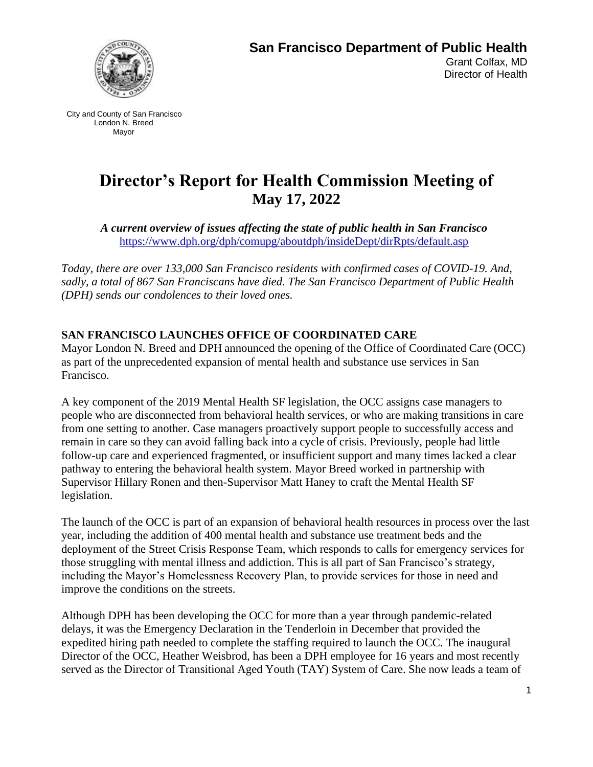

# **Director's Report for Health Commission Meeting of May 17, 2022**

*A current overview of issues affecting the state of public health in San Francisco* [https://www.dph.org/dph/comupg/aboutdph/insideDept/dirRpts/default.asp](https://www.sfdph.org/dph/comupg/aboutdph/insideDept/dirRpts/default.asp)

*Today, there are over 133,000 San Francisco residents with confirmed cases of COVID-19. And, sadly, a total of 867 San Franciscans have died. The San Francisco Department of Public Health (DPH) sends our condolences to their loved ones.*

### **SAN FRANCISCO LAUNCHES OFFICE OF COORDINATED CARE**

Mayor London N. Breed and DPH announced the opening of the Office of Coordinated Care (OCC) as part of the unprecedented expansion of mental health and substance use services in San Francisco.

A key component of the 2019 Mental Health SF legislation, the OCC assigns case managers to people who are disconnected from behavioral health services, or who are making transitions in care from one setting to another. Case managers proactively support people to successfully access and remain in care so they can avoid falling back into a cycle of crisis. Previously, people had little follow-up care and experienced fragmented, or insufficient support and many times lacked a clear pathway to entering the behavioral health system. Mayor Breed worked in partnership with Supervisor Hillary Ronen and then-Supervisor Matt Haney to craft the Mental Health SF legislation.

The launch of the OCC is part of an expansion of behavioral health resources in process over the last year, including the addition of 400 mental health and substance use treatment beds and the deployment of the Street Crisis Response Team, which responds to calls for emergency services for those struggling with mental illness and addiction. This is all part of San Francisco's strategy, including the Mayor's Homelessness Recovery Plan, to provide services for those in need and improve the conditions on the streets.

Although DPH has been developing the OCC for more than a year through pandemic-related delays, it was the Emergency Declaration in the Tenderloin in December that provided the expedited hiring path needed to complete the staffing required to launch the OCC. The inaugural Director of the OCC, Heather Weisbrod, has been a DPH employee for 16 years and most recently served as the Director of Transitional Aged Youth (TAY) System of Care. She now leads a team of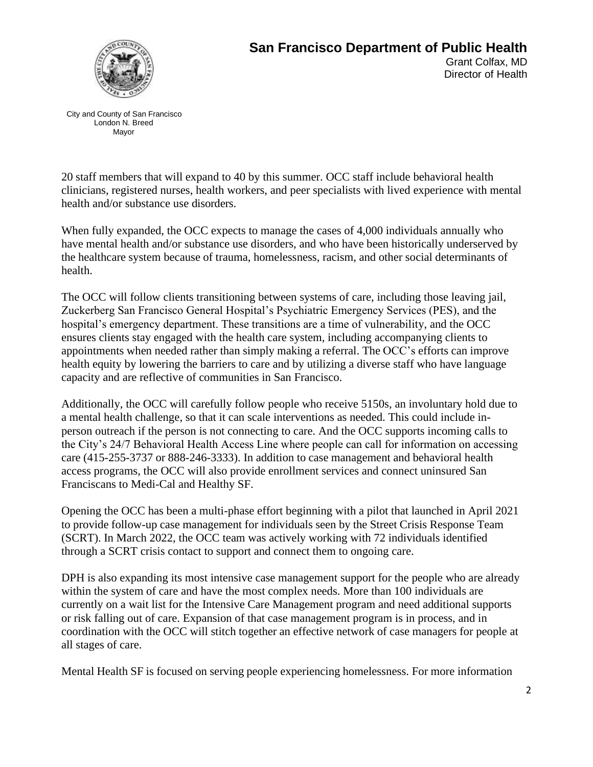

## **San Francisco Department of Public Health**  Grant Colfax, MD Director of Health

City and County of San Francisco London N. Breed Mayor

20 staff members that will expand to 40 by this summer. OCC staff include behavioral health clinicians, registered nurses, health workers, and peer specialists with lived experience with mental health and/or substance use disorders.

When fully expanded, the OCC expects to manage the cases of 4,000 individuals annually who have mental health and/or substance use disorders, and who have been historically underserved by the healthcare system because of trauma, homelessness, racism, and other social determinants of health.

The OCC will follow clients transitioning between systems of care, including those leaving jail, Zuckerberg San Francisco General Hospital's Psychiatric Emergency Services (PES), and the hospital's emergency department. These transitions are a time of vulnerability, and the OCC ensures clients stay engaged with the health care system, including accompanying clients to appointments when needed rather than simply making a referral. The OCC's efforts can improve health equity by lowering the barriers to care and by utilizing a diverse staff who have language capacity and are reflective of communities in San Francisco.

Additionally, the OCC will carefully follow people who receive 5150s, an involuntary hold due to a mental health challenge, so that it can scale interventions as needed. This could include inperson outreach if the person is not connecting to care. And the OCC supports incoming calls to the City's 24/7 Behavioral Health Access Line where people can call for information on accessing care (415-255-3737 or 888-246-3333). In addition to case management and behavioral health access programs, the OCC will also provide enrollment services and connect uninsured San Franciscans to Medi-Cal and Healthy SF.

Opening the OCC has been a multi-phase effort beginning with a pilot that launched in April 2021 to provide follow-up case management for individuals seen by the Street Crisis Response Team (SCRT). In March 2022, the OCC team was actively working with 72 individuals identified through a SCRT crisis contact to support and connect them to ongoing care.

DPH is also expanding its most intensive case management support for the people who are already within the system of care and have the most complex needs. More than 100 individuals are currently on a wait list for the Intensive Care Management program and need additional supports or risk falling out of care. Expansion of that case management program is in process, and in coordination with the OCC will stitch together an effective network of case managers for people at all stages of care.

Mental Health SF is focused on serving people experiencing homelessness. For more information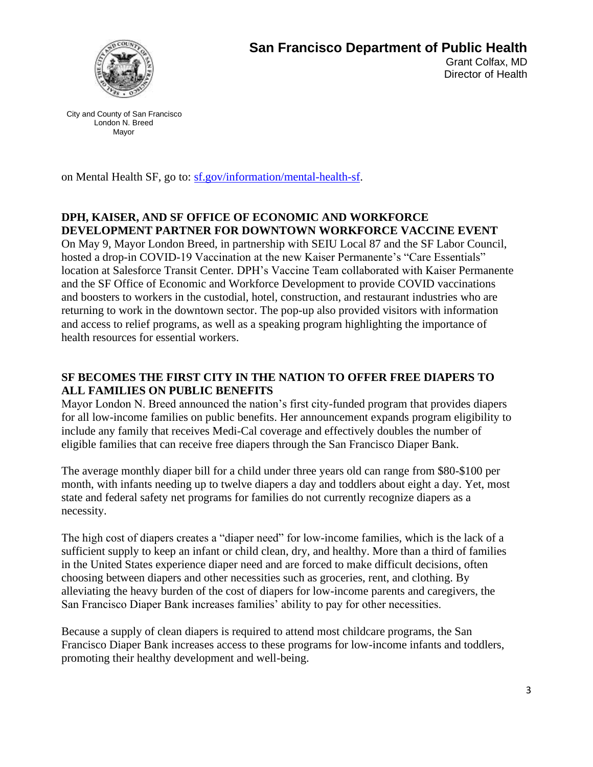

on Mental Health SF, go to: [sf.gov/information/mental-health-sf.](http://www.sf.gov/information/mental-health-sf)

#### **DPH, KAISER, AND SF OFFICE OF ECONOMIC AND WORKFORCE DEVELOPMENT PARTNER FOR DOWNTOWN WORKFORCE VACCINE EVENT**

On May 9, Mayor London Breed, in partnership with SEIU Local 87 and the SF Labor Council, hosted a drop-in COVID-19 Vaccination at the new Kaiser Permanente's "Care Essentials" location at Salesforce Transit Center. DPH's Vaccine Team collaborated with Kaiser Permanente and the SF Office of Economic and Workforce Development to provide COVID vaccinations and boosters to workers in the custodial, hotel, construction, and restaurant industries who are returning to work in the downtown sector. The pop-up also provided visitors with information and access to relief programs, as well as a speaking program highlighting the importance of health resources for essential workers.

#### **SF BECOMES THE FIRST CITY IN THE NATION TO OFFER FREE DIAPERS TO ALL FAMILIES ON PUBLIC BENEFITS**

Mayor London N. Breed announced the nation's first city-funded program that provides diapers for all low-income families on public benefits. Her announcement expands program eligibility to include any family that receives Medi-Cal coverage and effectively doubles the number of eligible families that can receive free diapers through the San Francisco Diaper Bank.

The average monthly diaper bill for a child under three years old can range from \$80-\$100 per month, with infants needing up to twelve diapers a day and toddlers about eight a day. Yet, most state and federal safety net programs for families do not currently recognize diapers as a necessity.

The high cost of diapers creates a "diaper need" for low-income families, which is the lack of a sufficient supply to keep an infant or child clean, dry, and healthy. More than a third of families in the United States experience diaper need and are forced to make difficult decisions, often choosing between diapers and other necessities such as groceries, rent, and clothing. By alleviating the heavy burden of the cost of diapers for low-income parents and caregivers, the San Francisco Diaper Bank increases families' ability to pay for other necessities.

Because a supply of clean diapers is required to attend most childcare programs, the San Francisco Diaper Bank increases access to these programs for low-income infants and toddlers, promoting their healthy development and well-being.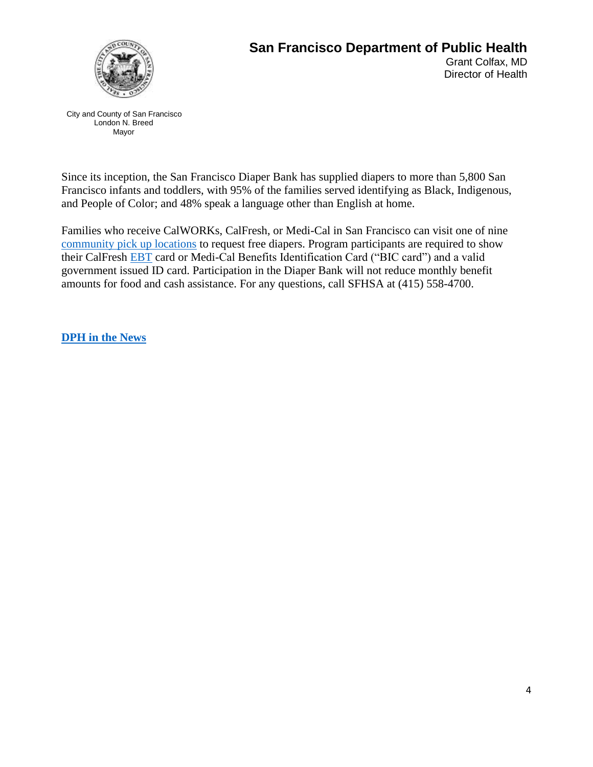

## **San Francisco Department of Public Health**  Grant Colfax, MD Director of Health

City and County of San Francisco London N. Breed Mayor

Since its inception, the San Francisco Diaper Bank has supplied diapers to more than 5,800 San Francisco infants and toddlers, with 95% of the families served identifying as Black, Indigenous, and People of Color; and 48% speak a language other than English at home.

Families who receive CalWORKs, CalFresh, or Medi-Cal in San Francisco can visit one of nine [community pick up locations](http://www.sfdiaperbank.org/locations) to request free diapers. Program participants are required to show their CalFresh [EBT](https://www.cdss.ca.gov/inforesources/ebt) card or Medi-Cal Benefits Identification Card ("BIC card") and a valid government issued ID card. Participation in the Diaper Bank will not reduce monthly benefit amounts for food and cash assistance. For any questions, call SFHSA at (415) 558-4700.

**[DPH in the News](https://news.google.com/search?q=san%20francisco%20department%20of%20public%20health%20when%3A14d&hl=en-US&gl=US&ceid=US%3Aen)**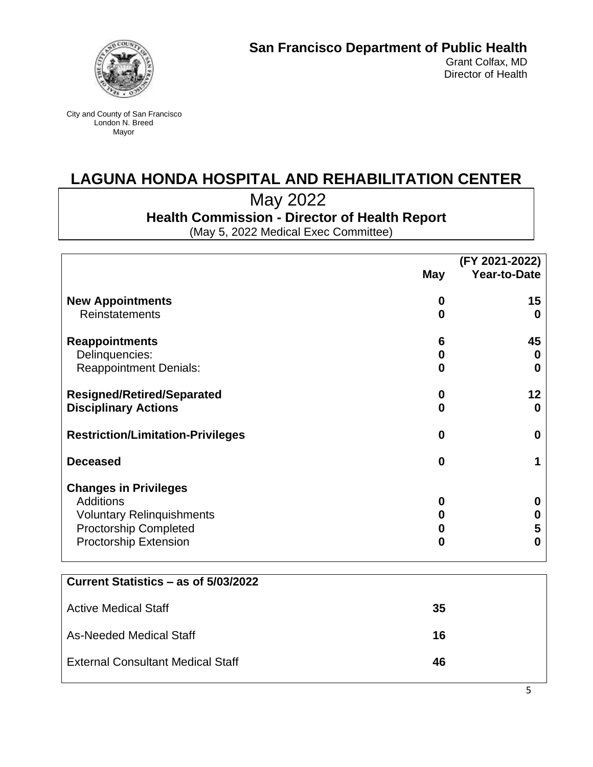

## **LAGUNA HONDA HOSPITAL AND REHABILITATION CENTER**

May 2022

**Health Commission - Director of Health Report**

(May 5, 2022 Medical Exec Committee)

|                                          | (FY 2021-2022) |                     |
|------------------------------------------|----------------|---------------------|
|                                          | May            | <b>Year-to-Date</b> |
| <b>New Appointments</b>                  | 0              | 15                  |
| <b>Reinstatements</b>                    | 0              | Ω                   |
| <b>Reappointments</b>                    | 6              | 45                  |
| Delinquencies:                           | 0              | O                   |
| <b>Reappointment Denials:</b>            | 0              | O                   |
| <b>Resigned/Retired/Separated</b>        | 0              | 12                  |
| <b>Disciplinary Actions</b>              | $\bf{0}$       | 0                   |
| <b>Restriction/Limitation-Privileges</b> | 0              | O                   |
| <b>Deceased</b>                          | $\bf{0}$       |                     |
| <b>Changes in Privileges</b>             |                |                     |
| <b>Additions</b>                         | 0              | O                   |
| <b>Voluntary Relinquishments</b>         | O              |                     |
| <b>Proctorship Completed</b>             | 0              | 5                   |
| <b>Proctorship Extension</b>             | $\bf{0}$       | O                   |
|                                          |                |                     |

| Current Statistics – as of 5/03/2022     |    |
|------------------------------------------|----|
| <b>Active Medical Staff</b>              | 35 |
| As-Needed Medical Staff                  | 16 |
| <b>External Consultant Medical Staff</b> | 46 |